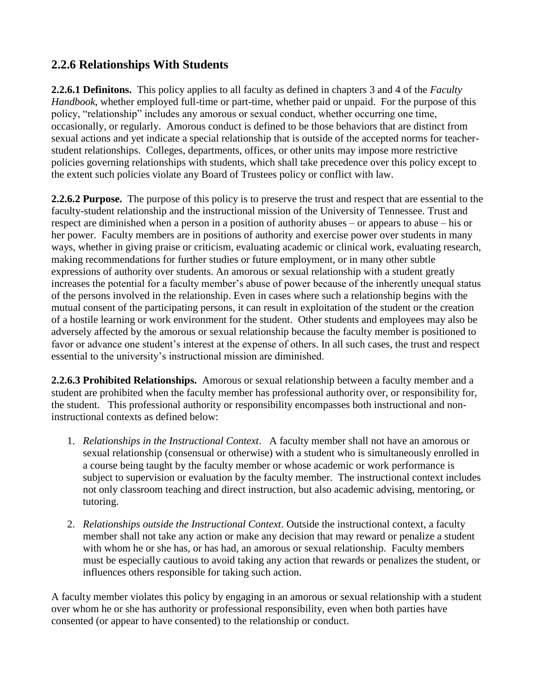## **2.2.6 Relationships With Students**

**2.2.6.1 Definitons.** This policy applies to all faculty as defined in chapters 3 and 4 of the *Faculty Handbook*, whether employed full-time or part-time, whether paid or unpaid. For the purpose of this policy, "relationship" includes any amorous or sexual conduct, whether occurring one time, occasionally, or regularly. Amorous conduct is defined to be those behaviors that are distinct from sexual actions and yet indicate a special relationship that is outside of the accepted norms for teacherstudent relationships. Colleges, departments, offices, or other units may impose more restrictive policies governing relationships with students, which shall take precedence over this policy except to the extent such policies violate any Board of Trustees policy or conflict with law.

**2.2.6.2 Purpose.** The purpose of this policy is to preserve the trust and respect that are essential to the faculty-student relationship and the instructional mission of the University of Tennessee. Trust and respect are diminished when a person in a position of authority abuses – or appears to abuse – his or her power. Faculty members are in positions of authority and exercise power over students in many ways, whether in giving praise or criticism, evaluating academic or clinical work, evaluating research, making recommendations for further studies or future employment, or in many other subtle expressions of authority over students. An amorous or sexual relationship with a student greatly increases the potential for a faculty member's abuse of power because of the inherently unequal status of the persons involved in the relationship. Even in cases where such a relationship begins with the mutual consent of the participating persons, it can result in exploitation of the student or the creation of a hostile learning or work environment for the student. Other students and employees may also be adversely affected by the amorous or sexual relationship because the faculty member is positioned to favor or advance one student's interest at the expense of others. In all such cases, the trust and respect essential to the university's instructional mission are diminished.

**2.2.6.3 Prohibited Relationships.** Amorous or sexual relationship between a faculty member and a student are prohibited when the faculty member has professional authority over, or responsibility for, the student. This professional authority or responsibility encompasses both instructional and noninstructional contexts as defined below:

- 1. *Relationships in the Instructional Context*. A faculty member shall not have an amorous or sexual relationship (consensual or otherwise) with a student who is simultaneously enrolled in a course being taught by the faculty member or whose academic or work performance is subject to supervision or evaluation by the faculty member. The instructional context includes not only classroom teaching and direct instruction, but also academic advising, mentoring, or tutoring.
- 2. *Relationships outside the Instructional Context*. Outside the instructional context, a faculty member shall not take any action or make any decision that may reward or penalize a student with whom he or she has, or has had, an amorous or sexual relationship. Faculty members must be especially cautious to avoid taking any action that rewards or penalizes the student, or influences others responsible for taking such action.

A faculty member violates this policy by engaging in an amorous or sexual relationship with a student over whom he or she has authority or professional responsibility, even when both parties have consented (or appear to have consented) to the relationship or conduct.